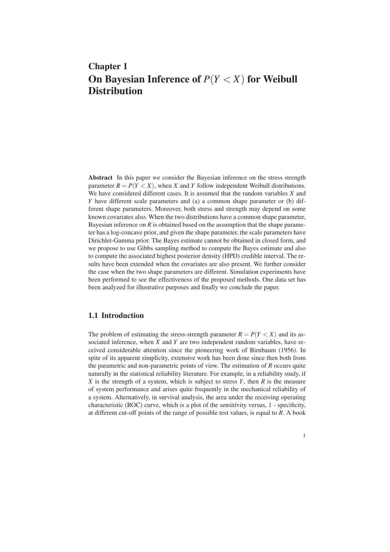# Chapter 1 On Bayesian Inference of  $P(Y < X)$  for Weibull **Distribution**

Abstract In this paper we consider the Bayesian inference on the stress strength parameter  $R = P(Y \leq X)$ , when *X* and *Y* follow independent Weibull distributions. We have considered different cases. It is assumed that the random variables *X* and *Y* have different scale parameters and (a) a common shape parameter or (b) different shape parameters. Moreover, both stress and strength may depend on some known covariates also. When the two distributions have a common shape parameter, Bayesian inference on  *is obtained based on the assumption that the shape parame*ter has a log-concave prior, and given the shape parameter, the scale parameters have Dirichlet-Gamma prior. The Bayes estimate cannot be obtained in closed form, and we propose to use Gibbs sampling method to compute the Bayes estimate and also to compute the associated highest posterior density (HPD) credible interval. The results have been extended when the covariates are also present. We further consider the case when the two shape parameters are different. Simulation experiments have been performed to see the effectiveness of the proposed methods. One data set has been analyzed for illustrative purposes and finally we conclude the paper.

## 1.1 Introduction

The problem of estimating the stress-strength parameter  $R = P(Y \leq X)$  and its associated inference, when *X* and *Y* are two independent random variables, have received considerable attention since the pioneering work of Birnbaum (1956). In spite of its apparent simplicity, extensive work has been done since then both from the parametric and non-parametric points of view. The estimation of *R* occurs quite naturally in the statistical reliability literature. For example, in a reliability study, if *X* is the strength of a system, which is subject to stress *Y*, then *R* is the measure of system performance and arises quite frequently in the mechanical reliability of a system. Alternatively, in survival analysis, the area under the receiving operating characteristic (ROC) curve, which is a plot of the sensitivity versus, 1 - specificity, at different cut-off points of the range of possible test values, is equal to *R*. A book

1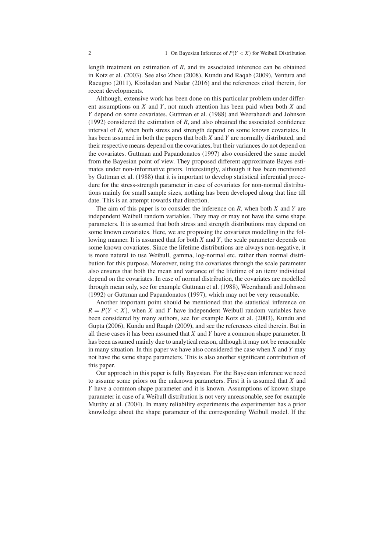length treatment on estimation of *R*, and its associated inference can be obtained in Kotz et al. (2003). See also Zhou (2008), Kundu and Raqab (2009), Ventura and Racugno (2011), Kizilaslan and Nadar (2016) and the references cited therein, for recent developments.

Although, extensive work has been done on this particular problem under different assumptions on *X* and *Y*, not much attention has been paid when both *X* and *Y* depend on some covariates. Guttman et al. (1988) and Weerahandi and Johnson (1992) considered the estimation of *R*, and also obtained the associated confidence interval of *R*, when both stress and strength depend on some known covariates. It has been assumed in both the papers that both *X* and *Y* are normally distributed, and their respective means depend on the covariates, but their variances do not depend on the covariates. Guttman and Papandonatos (1997) also considered the same model from the Bayesian point of view. They proposed different approximate Bayes estimates under non-informative priors. Interestingly, although it has been mentioned by Guttman et al. (1988) that it is important to develop statistical inferential procedure for the stress-strength parameter in case of covariates for non-normal distributions mainly for small sample sizes, nothing has been developed along that line till date. This is an attempt towards that direction.

The aim of this paper is to consider the inference on *R*, when both *X* and *Y* are independent Weibull random variables. They may or may not have the same shape parameters. It is assumed that both stress and strength distributions may depend on some known covariates. Here, we are proposing the covariates modelling in the following manner. It is assumed that for both *X* and *Y*, the scale parameter depends on some known covariates. Since the lifetime distributions are always non-negative, it is more natural to use Weibull, gamma, log-normal etc. rather than normal distribution for this purpose. Moreover, using the covariates through the scale parameter also ensures that both the mean and variance of the lifetime of an item/ individual depend on the covariates. In case of normal distribution, the covariates are modelled through mean only, see for example Guttman et al. (1988), Weerahandi and Johnson (1992) or Guttman and Papandonatos (1997), which may not be very reasonable.

Another important point should be mentioned that the statistical inference on  $R = P(Y < X)$ , when *X* and *Y* have independent Weibull random variables have been considered by many authors, see for example Kotz et al. (2003), Kundu and Gupta (2006), Kundu and Raqab (2009), and see the references cited therein. But in all these cases it has been assumed that *X* and *Y* have a common shape parameter. It has been assumed mainly due to analytical reason, although it may not be reasonable in many situation. In this paper we have also considered the case when *X* and *Y* may not have the same shape parameters. This is also another significant contribution of this paper.

Our approach in this paper is fully Bayesian. For the Bayesian inference we need to assume some priors on the unknown parameters. First it is assumed that *X* and *Y* have a common shape parameter and it is known. Assumptions of known shape parameter in case of a Weibull distribution is not very unreasonable, see for example Murthy et al. (2004). In many reliability experiments the experimenter has a prior knowledge about the shape parameter of the corresponding Weibull model. If the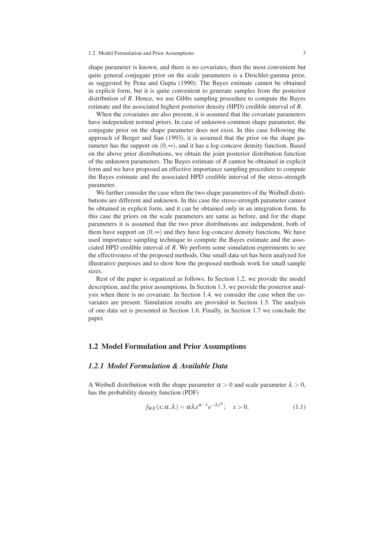#### 1.2 Model Formulation and Prior Assumptions 3

shape parameter is known, and there is no covariates, then the most convenient but quite general conjugate prior on the scale parameters is a Dirichlet-gamma prior, as suggested by Pena and Gupta (1990). The Bayes estimate cannot be obtained in explicit form, but it is quite convenient to generate samples from the posterior distribution of *R*. Hence, we use Gibbs sampling procedure to compute the Bayes estimate and the associated highest posterior density (HPD) credible interval of *R*.

When the covariates are also present, it is assumed that the covariate parameters have independent normal priors. In case of unknown common shape parameter, the conjugate prior on the shape parameter does not exist. In this case following the approach of Berger and Sun (1993), it is assumed that the prior on the shape parameter has the support on  $(0, \infty)$ , and it has a log-concave density function. Based on the above prior distributions, we obtain the joint posterior distribution function of the unknown parameters. The Bayes estimate of *R* cannot be obtained in explicit form and we have proposed an effective importance sampling procedure to compute the Bayes estimate and the associated HPD credible interval of the stress-strength parameter.

We further consider the case when the two shape parameters of the Weibull distributions are different and unknown. In this case the stress-strength parameter cannot be obtained in explicit form, and it can be obtained only in an integration form. In this case the priors on the scale parameters are same as before, and for the shape parameters it is assumed that the two prior distributions are independent, both of them have support on  $(0, \infty)$  and they have log-concave density functions. We have used importance sampling technique to compute the Bayes estimate and the associated HPD credible interval of *R*. We perform some simulation experiments to see the effectiveness of the proposed methods. One small data set has been analyzed for illustrative purposes and to show how the proposed methods work for small sample sizes.

Rest of the paper is organized as follows. In Section 1.2, we provide the model description, and the prior assumptions. In Section 1.3, we provide the posterior analysis when there is no covariate. In Section 1.4, we consider the case when the covariates are present. Simulation results are provided in Section 1.5. The analysis of one data set is presented in Section 1.6. Finally, in Section 1.7 we conclude the paper.

## 1.2 Model Formulation and Prior Assumptions

## *1.2.1 Model Formulation & Available Data*

A Weibull distribution with the shape parameter  $\alpha > 0$  and scale parameter  $\lambda > 0$ , has the probability density function (PDF)

$$
f_{WE}(x; \alpha, \lambda) = \alpha \lambda x^{\alpha - 1} e^{-\lambda x^{\alpha}}; \quad x > 0,
$$
\n(1.1)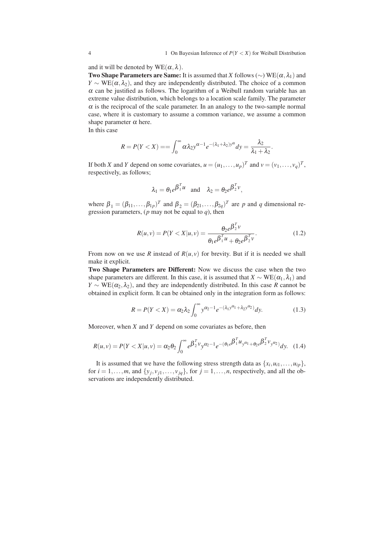.

and it will be denoted by  $WE(\alpha, \lambda)$ .

**Two Shape Parameters are Same:** It is assumed that *X* follows (∼) WE( $\alpha$ ,  $\lambda$ <sub>1</sub>) and *Y* ∼ WE( $\alpha$ ,  $\lambda$ <sub>2</sub>), and they are independently distributed. The choice of a common  $\alpha$  can be justified as follows. The logarithm of a Weibull random variable has an extreme value distribution, which belongs to a location scale family. The parameter  $\alpha$  is the reciprocal of the scale parameter. In an analogy to the two-sample normal case, where it is customary to assume a common variance, we assume a common shape parameter  $\alpha$  here.

In this case

$$
R = P(Y < X) = \int_0^\infty \alpha \lambda_2 y^{\alpha - 1} e^{-(\lambda_1 + \lambda_2) y^{\alpha}} dy = \frac{\lambda_2}{\lambda_1 + \lambda_2}
$$

If both *X* and *Y* depend on some covariates,  $u = (u_1, \ldots, u_p)^T$  and  $v = (v_1, \ldots, v_q)^T$ , respectively, as follows;

$$
\lambda_1 = \theta_1 e^{\beta_1^T u}
$$
 and  $\lambda_2 = \theta_2 e^{\beta_2^T v}$ ,

where  $\beta_1 = (\beta_{11}, \dots, \beta_{1p})^T$  and  $\beta_2 = (\beta_{21}, \dots, \beta_{2q})^T$  are p and q dimensional regression parameters,  $(p \text{ may not be equal to } q)$ , then

$$
R(u,v) = P(Y < X | u, v) = \frac{\theta_2 e^{\beta_2^T v}}{\theta_1 e^{\beta_1^T u} + \theta_2 e^{\beta_2^T v}}.
$$
\n(1.2)

From now on we use *R* instead of  $R(u, v)$  for brevity. But if it is needed we shall make it explicit.

Two Shape Parameters are Different: Now we discuss the case when the two shape parameters are different. In this case, it is assumed that  $X \sim WE(\alpha_1, \lambda_1)$  and *Y* ∼ WE( $\alpha_2, \lambda_2$ ), and they are independently distributed. In this case *R* cannot be obtained in explicit form. It can be obtained only in the integration form as follows:

$$
R = P(Y < X) = \alpha_2 \lambda_2 \int_0^\infty y^{\alpha_2 - 1} e^{-\left(\lambda_1 y^{\alpha_1} + \lambda_2 y^{\alpha_2}\right)} dy. \tag{1.3}
$$

Moreover, when *X* and *Y* depend on some covariates as before, then

$$
R(u,v) = P(Y < X | u, v) = \alpha_2 \theta_2 \int_0^{\infty} e^{\beta_2^T v} y^{\alpha_2 - 1} e^{-(\theta_1 e^{\beta_1^T u} y^{\alpha_1} + \theta_2 e^{\beta_2^T v} y^{\alpha_2})} dy. \tag{1.4}
$$

It is assumed that we have the following stress strength data as  $\{x_i, u_{i1}, \ldots, u_{ip}\}$ , for  $i = 1, \ldots, m$ , and  $\{y_j, v_{j1}, \ldots, v_{jq}\}$ , for  $j = 1, \ldots, n$ , respectively, and all the observations are independently distributed.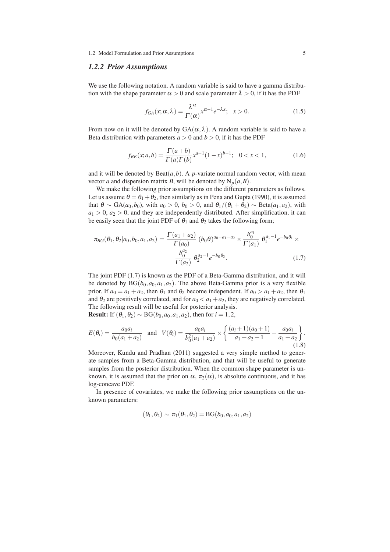1.2 Model Formulation and Prior Assumptions 5

## *1.2.2 Prior Assumptions*

We use the following notation. A random variable is said to have a gamma distribution with the shape parameter  $\alpha > 0$  and scale parameter  $\lambda > 0$ , if it has the PDF

$$
f_{GA}(x; \alpha, \lambda) = \frac{\lambda^{\alpha}}{\Gamma(\alpha)} x^{\alpha - 1} e^{-\lambda x}; \quad x > 0.
$$
 (1.5)

From now on it will be denoted by  $GA(\alpha, \lambda)$ . A random variable is said to have a Beta distribution with parameters  $a > 0$  and  $b > 0$ , if it has the PDF

$$
f_{BE}(x;a,b) = \frac{\Gamma(a+b)}{\Gamma(a)\Gamma(b)} x^{a-1} (1-x)^{b-1}; \quad 0 < x < 1,\tag{1.6}
$$

and it will be denoted by  $\text{beat}(a, b)$ . A *p*-variate normal random vector, with mean vector *a* and dispersion matrix *B*, will be denoted by  $N_p(a, B)$ .

We make the following prior assumptions on the different parameters as follows. Let us assume  $\theta = \theta_1 + \theta_2$ , then similarly as in Pena and Gupta (1990), it is assumed that  $\theta \sim GA(a_0, b_0)$ , with  $a_0 > 0$ ,  $b_0 > 0$ , and  $\theta_1/(\theta_1 + \theta_2) \sim Beta(a_1, a_2)$ , with  $a_1 > 0$ ,  $a_2 > 0$ , and they are independently distributed. After simplification, it can be easily seen that the joint PDF of  $\theta_1$  and  $\theta_2$  takes the following form;

$$
\pi_{BG}(\theta_1, \theta_2|a_0, b_0, a_1, a_2) = \frac{\Gamma(a_1 + a_2)}{\Gamma(a_0)} (b_0 \theta)^{a_0 - a_1 - a_2} \times \frac{b_0^{a_1}}{\Gamma(a_1)} \theta_1^{a_1 - 1} e^{-b_0 \theta_1} \times \frac{b_0^{a_2}}{\Gamma(a_2)} \theta_2^{a_2 - 1} e^{-b_0 \theta_2}.
$$
\n(1.7)

The joint PDF (1.7) is known as the PDF of a Beta-Gamma distribution, and it will be denoted by  $BG(b_0, a_0, a_1, a_2)$ . The above Beta-Gamma prior is a very flexible prior. If  $a_0 = a_1 + a_2$ , then  $\theta_1$  and  $\theta_2$  become independent. If  $a_0 > a_1 + a_2$ , then  $\theta_1$ and  $\theta_2$  are positively correlated, and for  $a_0 < a_1 + a_2$ , they are negatively correlated. The following result will be useful for posterior analysis.

**Result:** If  $(\theta_1, \theta_2)$  ∼ BG( $b_0, a_0, a_1, a_2$ ), then for  $i = 1, 2$ ,

$$
E(\theta_i) = \frac{a_0 a_i}{b_0 (a_1 + a_2)} \quad \text{and} \quad V(\theta_i) = \frac{a_0 a_i}{b_0^2 (a_1 + a_2)} \times \left\{ \frac{(a_i + 1)(a_0 + 1)}{a_1 + a_2 + 1} - \frac{a_0 a_i}{a_1 + a_2} \right\}.
$$
\n(1.8)

Moreover, Kundu and Pradhan (2011) suggested a very simple method to generate samples from a Beta-Gamma distribution, and that will be useful to generate samples from the posterior distribution. When the common shape parameter is unknown, it is assumed that the prior on  $\alpha$ ,  $\pi_2(\alpha)$ , is absolute continuous, and it has log-concave PDF.

In presence of covariates, we make the following prior assumptions on the unknown parameters:

$$
(\theta_1, \theta_2) \sim \pi_1(\theta_1, \theta_2) = BG(b_0, a_0, a_1, a_2)
$$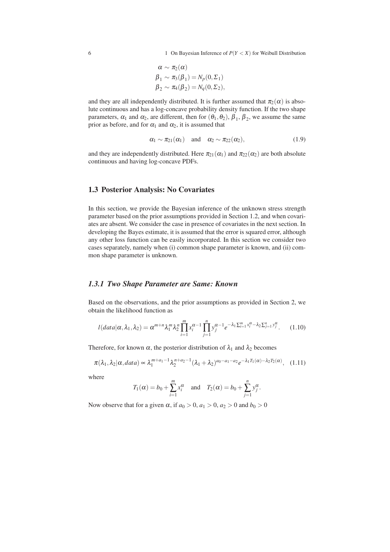6 1 On Bayesian Inference of *P*(*Y* < *X*) for Weibull Distribution

$$
\alpha \sim \pi_2(\alpha)
$$
  
\n
$$
\beta_1 \sim \pi_3(\beta_1) = N_p(0, \Sigma_1)
$$
  
\n
$$
\beta_2 \sim \pi_4(\beta_2) = N_q(0, \Sigma_2),
$$

and they are all independently distributed. It is further assumed that  $\pi_2(\alpha)$  is absolute continuous and has a log-concave probability density function. If the two shape parameters,  $\alpha_1$  and  $\alpha_2$ , are different, then for  $(\theta_1, \theta_2), \beta_1, \beta_2$ , we assume the same prior as before, and for  $\alpha_1$  and  $\alpha_2$ , it is assumed that

$$
\alpha_1 \sim \pi_{21}(\alpha_1) \quad \text{and} \quad \alpha_2 \sim \pi_{22}(\alpha_2), \tag{1.9}
$$

and they are independently distributed. Here  $\pi_{21}(\alpha_1)$  and  $\pi_{22}(\alpha_2)$  are both absolute continuous and having log-concave PDFs.

## 1.3 Posterior Analysis: No Covariates

In this section, we provide the Bayesian inference of the unknown stress strength parameter based on the prior assumptions provided in Section 1.2, and when covariates are absent. We consider the case in presence of covariates in the next section. In developing the Bayes estimate, it is assumed that the error is squared error, although any other loss function can be easily incorporated. In this section we consider two cases separately, namely when (i) common shape parameter is known, and (ii) common shape parameter is unknown.

## *1.3.1 Two Shape Parameter are Same: Known*

Based on the observations, and the prior assumptions as provided in Section 2, we obtain the likelihood function as

$$
l(data|\alpha, \lambda_1, \lambda_2) = \alpha^{m+n} \lambda_1^m \lambda_2^n \prod_{i=1}^m x_i^{\alpha-1} \prod_{j=1}^n y_j^{\alpha-1} e^{-\lambda_1 \sum_{i=1}^m x_i^{\alpha} - \lambda_2 \sum_{j=1}^n y_j^{\alpha}}.
$$
 (1.10)

Therefore, for known  $\alpha$ , the posterior distribution of  $\lambda_1$  and  $\lambda_2$  becomes

$$
\pi(\lambda_1, \lambda_2 | \alpha, data) \propto \lambda_1^{m+a_1-1} \lambda_2^{n+a_2-1} (\lambda_1 + \lambda_2)^{a_0-a_1-a_2} e^{-\lambda_1 T_1(\alpha) - \lambda_2 T_2(\alpha)}, \quad (1.11)
$$

where

$$
T_1(\alpha) = b_0 + \sum_{i=1}^m x_i^{\alpha}
$$
 and  $T_2(\alpha) = b_0 + \sum_{j=1}^n y_j^{\alpha}$ .

Now observe that for a given  $\alpha$ , if  $a_0 > 0$ ,  $a_1 > 0$ ,  $a_2 > 0$  and  $b_0 > 0$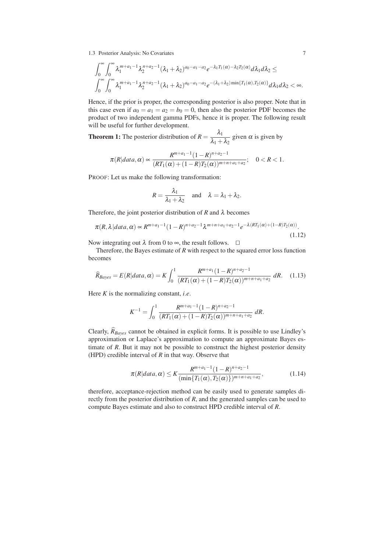1.3 Posterior Analysis: No Covariates 7

$$
\begin{aligned}&\int_0^\infty\int_0^\infty \lambda_1^{m+a_1-1}\lambda_2^{n+a_2-1}(\lambda_1+\lambda_2)^{a_0-a_1-a_2}e^{-\lambda_1T_1(\alpha)-\lambda_2T_2(\alpha)}d\lambda_1d\lambda_2\leq\\ &\int_0^\infty\int_0^\infty \lambda_1^{m+a_1-1}\lambda_2^{n+a_2-1}(\lambda_1+\lambda_2)^{a_0-a_1-a_2}e^{-(\lambda_1+\lambda_2)\min\{T_1(\alpha),T_2(\alpha)\}}d\lambda_1d\lambda_2<\infty.\end{aligned}
$$

Hence, if the prior is proper, the corresponding posterior is also proper. Note that in this case even if  $a_0 = a_1 = a_2 = b_0 = 0$ , then also the posterior PDF becomes the product of two independent gamma PDFs, hence it is proper. The following result will be useful for further development.

**Theorem 1:** The posterior distribution of  $R = \frac{\lambda_1}{\lambda_2}$  $\frac{n_1}{\lambda_1 + \lambda_2}$  given  $\alpha$  is given by

$$
\pi(R|data,\alpha) \propto \frac{R^{m+a_1-1}(1-R)^{n+a_2-1}}{(RT_1(\alpha)+(1-R)T_2(\alpha))^{m+n+a_1+a_2}}; \quad 0 < R < 1.
$$

PROOF: Let us make the following transformation:

$$
R=\frac{\lambda_1}{\lambda_1+\lambda_2} \quad \text{and} \quad \lambda=\lambda_1+\lambda_2.
$$

Therefore, the joint posterior distribution of  $R$  and  $\lambda$  becomes

$$
\pi(R, \lambda | data, \alpha) \propto R^{m+a_1-1} (1 - R)^{n+a_2-1} \lambda^{m+n+a_1+a_2-1} e^{-\lambda (RT_1(\alpha) + (1 - R)T_2(\alpha))}.
$$
\n(1.12)

Now integrating out  $\lambda$  from 0 to  $\infty$ , the result follows.  $\Box$ 

Therefore, the Bayes estimate of *R* with respect to the squared error loss function becomes

$$
\widehat{R}_{Bayes} = E(R|data,\alpha) = K \int_0^1 \frac{R^{m+a_1}(1-R)^{n+a_2-1}}{(RT_1(\alpha) + (1-R)T_2(\alpha))^{m+n+a_1+a_2}} \, dR. \tag{1.13}
$$

Here *K* is the normalizing constant, *i*.*e*.

$$
K^{-1} = \int_0^1 \frac{R^{m+a_1-1} (1-R)^{n+a_2-1}}{(RT_1(\alpha) + (1-R)T_2(\alpha))^{m+n+a_1+a_2}} \, dR.
$$

Clearly,  $\hat{R}_{Bayes}$  cannot be obtained in explicit forms. It is possible to use Lindley's approximation or Laplace's approximation to compute an approximate Bayes estimate of *R*. But it may not be possible to construct the highest posterior density (HPD) credible interval of *R* in that way. Observe that

$$
\pi(R|data,\alpha) \le K \frac{R^{m+a_1-1} (1-R)^{n+a_2-1}}{\left(\min\{T_1(\alpha), T_2(\alpha)\}\right)^{m+n+a_1+a_2}},\tag{1.14}
$$

therefore, acceptance-rejection method can be easily used to generate samples directly from the posterior distribution of *R*, and the generated samples can be used to compute Bayes estimate and also to construct HPD credible interval of *R*.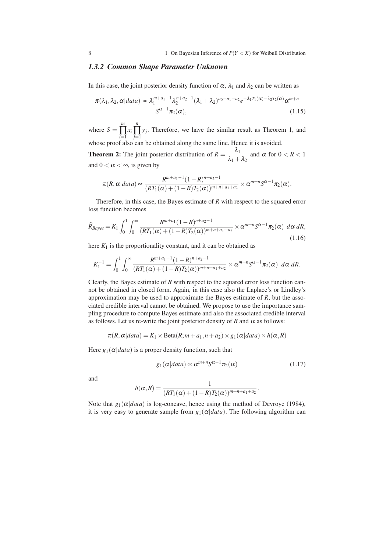## *1.3.2 Common Shape Parameter Unknown*

In this case, the joint posterior density function of  $\alpha$ ,  $\lambda_1$  and  $\lambda_2$  can be written as

$$
\pi(\lambda_1, \lambda_2, \alpha | data) \propto \lambda_1^{m+a_1-1} \lambda_2^{n+a_2-1} (\lambda_1 + \lambda_2)^{a_0-a_1-a_2} e^{-\lambda_1 T_1(\alpha) - \lambda_2 T_2(\alpha)} \alpha^{m+n}
$$
  

$$
S^{\alpha-1} \pi_2(\alpha),
$$
 (1.15)

where  $S =$ *m* ∏ *i*=1 *xi n* ∏ *j*=1 *yj* . Therefore, we have the similar result as Theorem 1, and whose proof also can be obtained along the same line. Hence it is avoided.

**Theorem 2:** The joint posterior distribution of  $R = \frac{\lambda_1}{\lambda_2}$  $\frac{\lambda_1}{\lambda_1 + \lambda_2}$  and  $\alpha$  for  $0 < R < 1$ and  $0 < \alpha < \infty$ , is given by

$$
\pi(R,\alpha|data) \propto \frac{R^{m+a_1-1}(1-R)^{n+a_2-1}}{(RT_1(\alpha)+(1-R)T_2(\alpha))^{m+n+a_1+a_2}} \times \alpha^{m+n}S^{\alpha-1}\pi_2(\alpha).
$$

Therefore, in this case, the Bayes estimate of *R* with respect to the squared error loss function becomes

$$
\widehat{R}_{Bayes} = K_1 \int_0^1 \int_0^\infty \frac{R^{m+a_1} (1 - R)^{n+a_2 - 1}}{(RT_1(\alpha) + (1 - R)T_2(\alpha))^{m+n+a_1+a_2}} \times \alpha^{m+n} S^{\alpha - 1} \pi_2(\alpha) \, d\alpha \, dR,\tag{1.16}
$$

here  $K_1$  is the proportionality constant, and it can be obtained as

$$
K_1^{-1} = \int_0^1 \int_0^{\infty} \frac{R^{m+a_1-1} (1-R)^{n+a_2-1}}{(RT_1(\alpha) + (1-R)T_2(\alpha))^{m+n+a_1+a_2}} \times \alpha^{m+n} S^{\alpha-1} \pi_2(\alpha) \, d\alpha \, dR.
$$

Clearly, the Bayes estimate of *R* with respect to the squared error loss function cannot be obtained in closed form. Again, in this case also the Laplace's or Lindley's approximation may be used to approximate the Bayes estimate of *R*, but the associated credible interval cannot be obtained. We propose to use the importance sampling procedure to compute Bayes estimate and also the associated credible interval as follows. Let us re-write the joint posterior density of  $R$  and  $\alpha$  as follows:

$$
\pi(R, \alpha|data) = K_1 \times \text{Beta}(R; m + a_1, n + a_2) \times g_1(\alpha|data) \times h(\alpha, R)
$$

Here  $g_1(\alpha|data)$  is a proper density function, such that

$$
g_1(\alpha|data) \propto \alpha^{m+n} S^{\alpha-1} \pi_2(\alpha) \tag{1.17}
$$

and

$$
h(\alpha, R) = \frac{1}{(RT_1(\alpha) + (1 - R)T_2(\alpha))^{m+n+a_1+a_2}}.
$$

Note that  $g_1(\alpha|data)$  is log-concave, hence using the method of Devroye (1984), it is very easy to generate sample from  $g_1(\alpha|data)$ . The following algorithm can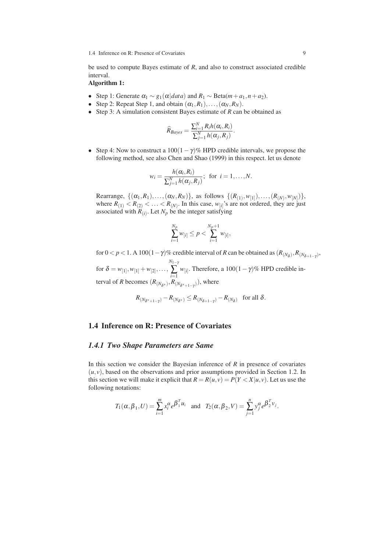1.4 Inference on R: Presence of Covariates 9

be used to compute Bayes estimate of *R*, and also to construct associated credible interval.

## Algorithm 1:

- Step 1: Generate  $\alpha_1 \sim g_1(\alpha|data)$  and  $R_1 \sim \text{Beta}(m + a_1, n + a_2)$ .
- Step 2: Repeat Step 1, and obtain  $(\alpha_1, R_1), \ldots, (\alpha_N, R_N)$ .
- Step 3: A simulation consistent Bayes estimate of *R* can be obtained as

$$
\widehat{R}_{Bayes} = \frac{\sum_{i=1}^{N} R_i h(\alpha_i, R_i)}{\sum_{j=1}^{N} h(\alpha_j, R_j)}.
$$

• Step 4: Now to construct a  $100(1-\gamma)\%$  HPD credible intervals, we propose the following method, see also Chen and Shao (1999) in this respect. let us denote

$$
w_i = \frac{h(\alpha_i, R_i)}{\sum_{j=1}^N h(\alpha_j, R_j)};
$$
 for  $i = 1, ..., N$ .

Rearrange,  $\{(\alpha_1, R_1), \ldots, (\alpha_N, R_N)\}\$ , as follows  $\{(R_{(1)}, w_{[1]})$ ,...,  $(R_{(N)}, w_{[N]})\}\$ , where  $R_{(1)} < R_{(2)} < \ldots < R_{(N)}$ . In this case,  $w_{[i]}$ 's are not ordered, they are just associated with  $R(i)$ . Let  $N_p$  be the integer satisfying

$$
\sum_{i=1}^{N_p} w_{[i]} \leq p < \sum_{i=1}^{N_p+1} w_{[i]},
$$

for  $0 < p < 1$ . A  $100(1 - \gamma)\%$  credible interval of *R* can be obtained as  $(R_{(N_\delta)}, R_{(N_{\delta+1-\gamma})},$ for  $\delta = w_{[1]}, w_{[1]} + w_{[2]}, \ldots,$ *N*1−<sup>γ</sup> ∑ *i*=1  $w_{[i]}$ . Therefore, a 100(1 –  $\gamma$ )% HPD credible interval of *R* becomes  $(R_{(N_{\delta^*})}, R_{(N_{\delta^*+1-\gamma})})$ , where

$$
R_{(N_{\delta^*+1-\gamma})}-R_{(N_{\delta^*})}\leq R_{(N_{\delta+1-\gamma})}-R_{(N_{\delta})}\quad\text{for all }\delta.
$$

## 1.4 Inference on R: Presence of Covariates

#### *1.4.1 Two Shape Parameters are Same*

In this section we consider the Bayesian inference of *R* in presence of covariates  $(u, v)$ , based on the observations and prior assumptions provided in Section 1.2. In this section we will make it explicit that  $R = R(u, v) = P(Y < X | u, v)$ . Let us use the following notations:

$$
T_1(\alpha, \beta_1, U) = \sum_{i=1}^m x_i^{\alpha} e^{\beta_1^T u_i}
$$
 and  $T_2(\alpha, \beta_2, V) = \sum_{j=1}^n y_j^{\alpha} e^{\beta_2^T v_j}$ .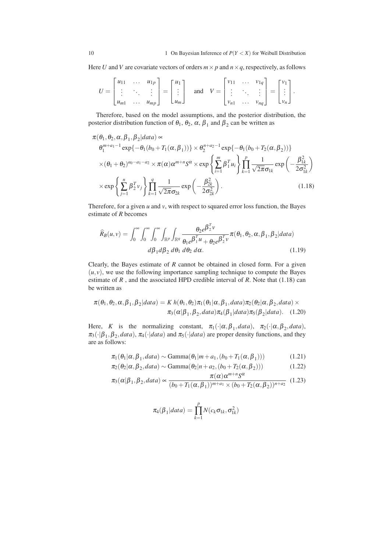Here *U* and *V* are covariate vectors of orders  $m \times p$  and  $n \times q$ , respectively, as follows

$$
U = \begin{bmatrix} u_{11} & \cdots & u_{1p} \\ \vdots & \ddots & \vdots \\ u_{m1} & \cdots & u_{mp} \end{bmatrix} = \begin{bmatrix} u_1 \\ \vdots \\ u_m \end{bmatrix} \text{ and } V = \begin{bmatrix} v_{11} & \cdots & v_{1q} \\ \vdots & \ddots & \vdots \\ v_{n1} & \cdots & v_{nq} \end{bmatrix} = \begin{bmatrix} v_1 \\ \vdots \\ v_n \end{bmatrix}.
$$

Therefore, based on the model assumptions, and the posterior distribution, the posterior distribution function of  $\theta_1$ ,  $\theta_2$ ,  $\alpha$ ,  $\beta_1$  and  $\beta_2$  can be written as

$$
\pi(\theta_1, \theta_2, \alpha, \beta_1, \beta_2 | data) \propto
$$
\n
$$
\theta_1^{m+a_1-1} \exp\{-\theta_1(b_0 + T_1(\alpha, \beta_1))\} \times \theta_2^{n+a_2-1} \exp\{-\theta_1(b_0 + T_2(\alpha, \beta_2))\}
$$
\n
$$
\times (\theta_1 + \theta_2)^{a_0 - a_1 - a_2} \times \pi(\alpha) \alpha^{m+n} S^{\alpha} \times \exp\left\{\sum_{i=1}^m \beta_1^T u_i\right\} \prod_{k=1}^p \frac{1}{\sqrt{2\pi} \sigma_{1k}} \exp\left(-\frac{\beta_{1k}^2}{2\sigma_{1k}^2}\right)
$$
\n
$$
\times \exp\left\{\sum_{j=1}^n \beta_2^T v_j\right\} \prod_{k=1}^q \frac{1}{\sqrt{2\pi} \sigma_{2k}} \exp\left(-\frac{\beta_{2k}^2}{2\sigma_{2k}^2}\right).
$$
\n(1.18)

Therefore, for a given  $u$  and  $v$ , with respect to squared error loss function, the Bayes estimate of *R* becomes

$$
\widehat{R}_B(u,v) = \int_0^\infty \int_0^\infty \int_0^\infty \int_{\mathbb{R}^p} \int_{\mathbb{R}^q} \frac{\theta_2 e^{\beta_2' v}}{\theta_1 e^{\beta_1' u} + \theta_2 e^{\beta_2' v}} \pi(\theta_1, \theta_2, \alpha, \beta_1, \beta_2 | data)
$$
\n
$$
d\beta_1 d\beta_2 d\theta_1 d\theta_2 d\alpha. \tag{1.19}
$$

 $\overline{r}$ 

Clearly, the Bayes estimate of *R* cannot be obtained in closed form. For a given  $(u, v)$ , we use the following importance sampling technique to compute the Bayes estimate of *R* , and the associated HPD credible interval of *R*. Note that (1.18) can be written as

$$
\pi(\theta_1, \theta_2, \alpha, \beta_1, \beta_2 | data) = K h(\theta_1, \theta_2) \pi_1(\theta_1 | \alpha, \beta_1, data) \pi_2(\theta_2 | \alpha, \beta_2, data) \times \n\pi_3(\alpha | \beta_1, \beta_2, data) \pi_4(\beta_1 | data) \pi_5(\beta_2 | data). \quad (1.20)
$$

Here, *K* is the normalizing constant,  $\pi_1(\cdot | \alpha, \beta_1, data), \pi_2(\cdot | \alpha, \beta_2, data),$  $\pi_3(\cdot|\beta_1,\beta_2, data)$ ,  $\pi_4(\cdot|data)$  and  $\pi_5(\cdot|data)$  are proper density functions, and they are as follows:

$$
\pi_1(\theta_1|\alpha, \beta_1, data) \sim \text{Gamma}(\theta_1|m + a_1, (b_0 + T_1(\alpha, \beta_1))) \tag{1.21}
$$

$$
\pi_2(\theta_2|\alpha, \beta_2, data) \sim \text{Gamma}(\theta_2|n + a_2, (b_0 + T_2(\alpha, \beta_2)))
$$
\n(1.22)\n
$$
\pi(\alpha)\alpha^{m+n}S^{\alpha}
$$
\n(1.23)

$$
\pi_3(\alpha|\beta_1,\beta_2, data) \propto \frac{\lambda(\alpha)\alpha}{(b_0 + T_1(\alpha,\beta_1))^{m+a_1} \times (b_0 + T_2(\alpha,\beta_2))^{n+a_2}} \tag{1.23}
$$

$$
\pi_4(\beta_1|data) = \prod_{k=1}^p N(c_k \sigma_{1k}, \sigma_{1k}^2)
$$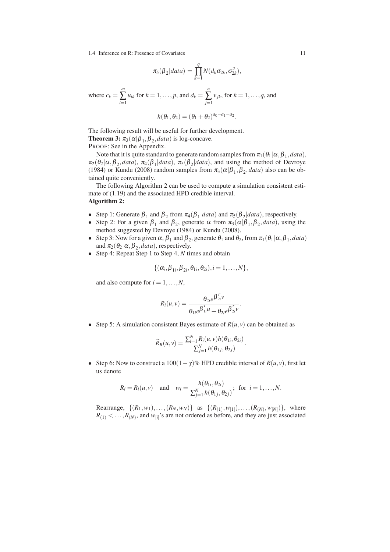1.4 Inference on R: Presence of Covariates 11

$$
\pi_5(\beta_2|data) = \prod_{k=1}^q N(d_k \sigma_{2k}, \sigma_{2k}^2),
$$

where  $c_k =$ *m* ∑ *i*=1  $u_{ik}$  for  $k = 1, \ldots, p$ , and  $d_k =$ *n* ∑ *j*=1  $v_{jk}$ , for  $k = 1, \ldots, q$ , and

$$
h(\theta_1,\theta_2)=(\theta_1+\theta_2)^{a_0-a_1-a_2}.
$$

The following result will be useful for further development. **Theorem 3:**  $\pi_3(\alpha|\beta_1, \beta_2, data)$  is log-concave. PROOF: See in the Appendix.

Note that it is quite standard to generate random samples from  $\pi_1(\theta_1|\alpha,\beta_1, data)$ ,  $\pi_2(\theta_2|\alpha, \beta_2, data)$ ,  $\pi_4(\beta_1|data)$ ,  $\pi_5(\beta_2|data)$ , and using the method of Devroye (1984) or Kundu (2008) random samples from  $\pi_3(\alpha|\beta_1, \beta_2, data)$  also can be obtained quite conveniently.

The following Algorithm 2 can be used to compute a simulation consistent estimate of (1.19) and the associated HPD credible interval.

## Algorithm 2:

- Step 1: Generate  $\beta_1$  and  $\beta_2$  from  $\pi_4(\beta_1|data)$  and  $\pi_5(\beta_2|data)$ , respectively.
- Step 2: For a given  $\beta_1$  and  $\beta_2$ , generate  $\alpha$  from  $\pi_3(\alpha|\beta_1, \beta_2, data)$ , using the method suggested by Devroye (1984) or Kundu (2008).
- Step 3: Now for a given  $\alpha$ ,  $\beta_1$  and  $\beta_2$ , generate  $\theta_1$  and  $\theta_2$ , from  $\pi_1(\theta_1|\alpha, \beta_1, data)$ and  $\pi_2(\theta_2|\alpha, \beta_2, data)$ , respectively.
- Step 4: Repeat Step 1 to Step 4, *N* times and obtain

$$
\{(\alpha_i,\beta_{1i},\beta_{2i},\theta_{1i},\theta_{2i}), i=1,\ldots,N\},\
$$

and also compute for  $i = 1, \ldots, N$ ,

$$
R_i(u,v) = \frac{\theta_{2i}e^{\beta_{2i}^T v}}{\theta_{1i}e^{\beta_{1i}^T u} + \theta_{2i}e^{\beta_{2i}^T v}}.
$$

• Step 5: A simulation consistent Bayes estimate of  $R(u, v)$  can be obtained as

$$
\widehat{R}_B(u,v) = \frac{\sum_{i=1}^N R_i(u,v)h(\theta_{1i}, \theta_{2i})}{\sum_{j=1}^N h(\theta_{1j}, \theta_{2j})}.
$$

• Step 6: Now to construct a  $100(1-\gamma)\%$  HPD credible interval of  $R(u, v)$ , first let us denote

$$
R_i = R_i(u, v)
$$
 and  $w_i = \frac{h(\theta_{1i}, \theta_{2i})}{\sum_{j=1}^N h(\theta_{1j}, \theta_{2j})}$ ; for  $i = 1, ..., N$ .

Rearrange,  $\{(R_1, w_1), \ldots, (R_N, w_N)\}$  as  $\{(R_{(1)}, w_{[1]})$ ,..., $(R_{(N)}, w_{[N]})\}$ , where  $R_{(1)} < \ldots, R_{(N)}$ , and  $w_{[i]}$ 's are not ordered as before, and they are just associated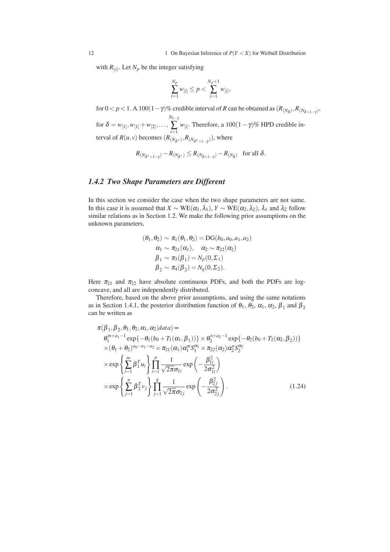with  $R_{(i)}$ . Let  $N_p$  be the integer satisfying

$$
\sum_{i=1}^{N_p} w_{[i]} \le p < \sum_{i=1}^{N_p+1} w_{[i]},
$$

for  $0 < p < 1$ . A  $100(1 - \gamma)\%$  credible interval of *R* can be obtained as  $(R_{(N_\delta)}, R_{(N_{\delta+1-\gamma})},$ for  $\delta = w_{[1]}, w_{[1]} + w_{[2]}, \ldots,$ *N*1−<sup>γ</sup> ∑ *i*=1  $w_{[i]}$ . Therefore, a 100(1 –  $\gamma$ )% HPD credible interval of  $R(u, v)$  becomes  $(R_{(N_{\delta^*})}, R_{(N_{\delta^*+1-\gamma})})$ , where

$$
R_{(N_{\delta^*+1-\gamma})}-R_{(N_{\delta^*})}\leq R_{(N_{\delta+1-\gamma})}-R_{(N_{\delta})}\quad\text{for all }\delta.
$$

## *1.4.2 Two Shape Parameters are Different*

In this section we consider the case when the two shape parameters are not same. In this case it is assumed that *X* ∼ WE( $\alpha_1, \lambda_1$ ), *Y* ∼ WE( $\alpha_2, \lambda_2$ ),  $\lambda_1$  and  $\lambda_2$  follow similar relations as in Section 1.2. We make the following prior assumptions on the unknown parameters.

$$
(\theta_1, \theta_2) \sim \pi_1(\theta_1, \theta_2) = DG(b_0, a_0, a_1, a_2)
$$
  
\n
$$
\alpha_1 \sim \pi_{21}(\alpha_1), \quad \alpha_2 \sim \pi_{22}(\alpha_2)
$$
  
\n
$$
\beta_1 \sim \pi_3(\beta_1) = N_p(0, \Sigma_1)
$$
  
\n
$$
\beta_2 \sim \pi_4(\beta_2) = N_q(0, \Sigma_2).
$$

Here  $\pi_{21}$  and  $\pi_{22}$  have absolute continuous PDFs, and both the PDFs are logconcave, and all are independently distributed.

Therefore, based on the above prior assumptions, and using the same notations as in Section 1.4.1, the posterior distribution function of  $\theta_1$ ,  $\theta_2$ ,  $\alpha_1$ ,  $\alpha_2$ ,  $\beta_1$  and  $\beta_2$ can be written as

$$
\pi(\beta_1, \beta_2, \theta_1, \theta_2, \alpha_1, \alpha_2 | data) \propto
$$
\n
$$
\theta_1^{m+a_1-1} \exp\{-\theta_1(b_0 + T_1(\alpha_1, \beta_1))\} \times \theta_2^{n+a_2-1} \exp\{-\theta_2(b_0 + T_2(\alpha_2, \beta_2))\}
$$
\n
$$
\times (\theta_1 + \theta_2)^{a_0 - a_1 - a_2} \times \pi_{21}(\alpha_1) \alpha_1^m S_1^{\alpha_1} \times \pi_{22}(\alpha_2) \alpha_2^n S_2^{\alpha_2}
$$
\n
$$
\times \exp\left\{\sum_{i=1}^m \beta_1^T u_i\right\} \prod_{i=1}^p \frac{1}{\sqrt{2\pi}\sigma_{1i}} \exp\left(-\frac{\beta_{1i}^2}{2\sigma_{1i}^2}\right)
$$
\n
$$
\times \exp\left\{\sum_{j=1}^n \beta_2^T v_j\right\} \prod_{j=1}^q \frac{1}{\sqrt{2\pi}\sigma_{2j}} \exp\left(-\frac{\beta_{2j}^2}{2\sigma_{2j}^2}\right).
$$
\n(1.24)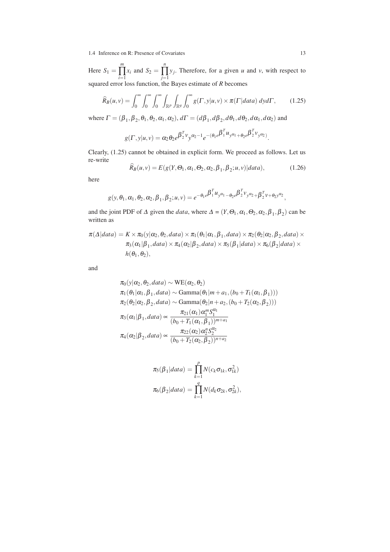1.4 Inference on R: Presence of Covariates 13

Here  $S_1 =$ *m* ∏ *i*=1  $x_i$  and  $S_2 =$ *n* ∏ *j*=1  $y_j$ . Therefore, for a given *u* and *v*, with respect to squared error loss function, the Bayes estimate of *R* becomes

$$
\widehat{R}_B(u,v) = \int_0^\infty \int_0^\infty \int_0^\infty \int_{\mathbb{R}^p} \int_{\mathbb{R}^q} \int_0^\infty g(\Gamma,y|u,v) \times \pi(\Gamma|data) \, dyd\Gamma, \tag{1.25}
$$

where  $\Gamma = (\beta_1, \beta_2, \theta_1, \theta_2, \alpha_1, \alpha_2), d\Gamma = (d\beta_1, d\beta_2, d\theta_1, d\theta_2, d\alpha_1, d\alpha_2)$  and

$$
g(\Gamma, y | u, v) = \alpha_2 \theta_2 e^{\beta_2^T v} y^{\alpha_2 - 1} e^{-(\theta_1 e^{\beta_1^T u} y^{\alpha_1} + \theta_2 e^{\beta_2^T v} y^{\alpha_2})}.
$$

Clearly, (1.25) cannot be obtained in explicit form. We proceed as follows. Let us re-write  $\overline{a}$ 

$$
\widehat{R}_B(u,v) = E(g(Y,\Theta_1,\alpha_1,\Theta_2,\alpha_2,\beta_1,\beta_2;u,v)|data),\tag{1.26}
$$

here

$$
g(y, \theta_1, \alpha_1, \theta_2, \alpha_2, \beta_1, \beta_2; u, v) = e^{-\theta_1 e^{\beta_1^T} u_y \alpha_1 - \theta_2 e^{\beta_2^T} v_y \alpha_2} + \beta_2^T v + \theta_2 v^{\alpha_2},
$$

and the joint PDF of  $\Delta$  given the *data*, where  $\Delta = (Y, \Theta_1, \alpha_1, \Theta_2, \alpha_2, \beta_1, \beta_2)$  can be written as

$$
\pi(\Delta|data) = K \times \pi_0(y|\alpha_2, \theta_2, data) \times \pi_1(\theta_1|\alpha_1, \beta_1, data) \times \pi_2(\theta_2|\alpha_2, \beta_2, data) \times \pi_3(\alpha_1|\beta_1, data) \times \pi_4(\alpha_2|\beta_2, data) \times \pi_5(\beta_1|data) \times \pi_6(\beta_2|data) \times \pi_6(\theta_1, \theta_2),
$$

and

$$
\pi_0(y|\alpha_2, \theta_2, data) \sim \text{WE}(\alpha_2, \theta_2)
$$
  
\n
$$
\pi_1(\theta_1|\alpha_1, \beta_1, data) \sim \text{Gamma}(\theta_1|m + a_1, (b_0 + T_1(\alpha_1, \beta_1)))
$$
  
\n
$$
\pi_2(\theta_2|\alpha_2, \beta_2, data) \sim \text{Gamma}(\theta_2|n + a_2, (b_0 + T_2(\alpha_2, \beta_2)))
$$
  
\n
$$
\pi_3(\alpha_1|\beta_1, data) \propto \frac{\pi_{21}(\alpha_1)\alpha_1^m S_1^{\alpha_1}}{(b_0 + T_1(\alpha_1, \beta_1))^{m+a_1}}
$$
  
\n
$$
\pi_4(\alpha_2|\beta_2, data) \propto \frac{\pi_{22}(\alpha_2)\alpha_2^n S_2^{\alpha_2}}{(b_0 + T_2(\alpha_2, \beta_2))^{n+a_2}}
$$

$$
\pi_5(\beta_1|data) = \prod_{k=1}^p N(c_k \sigma_{1k}, \sigma_{1k}^2)
$$

$$
\pi_6(\beta_2|data) = \prod_{k=1}^q N(d_k \sigma_{2k}, \sigma_{2k}^2),
$$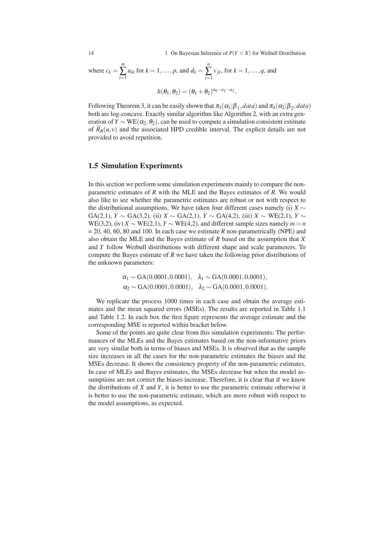14 1 On Bayesian Inference of *P*(*Y* < *X*) for Weibull Distribution

where 
$$
c_k = \sum_{i=1}^{m} u_{ik}
$$
 for  $k = 1, ..., p$ , and  $d_k = \sum_{j=1}^{n} v_{jk}$ , for  $k = 1, ..., q$ , and  

$$
h(\theta_1, \theta_2) = (\theta_1 + \theta_2)^{a_0 - a_1 - a_2}.
$$

Following Theorem 3, it can be easily shown that  $\pi_3(\alpha_1|\beta_1, data)$  and  $\pi_4(\alpha_2|\beta_2, data)$ both are log-concave. Exactly similar algorithm like Algorithm 2, with an extra generation of *Y* ∼ WE( $\alpha_2, \theta_2$ ), can be used to compute a simulation consistent estimate of  $\hat{R}_B(u, v)$  and the associated HPD credible interval. The explicit details are not provided to avoid repetition.

## 1.5 Simulation Experiments

In this section we perform some simulation experiments mainly to compare the nonparametric estimates of *R* with the MLE and the Bayes estimates of *R*. We would also like to see whether the parametric estimates are robust or not with respect to the distributional assumptions. We have taken four different cases namely (i) *X*  $\sim$ GA(2,1), *Y* ∼ GA(3,2), (ii) *X* ∼ GA(2,1), *Y* ∼ GA(4,2), (iii) *X* ∼ WE(2,1), *Y* ∼ WE(3,2), (iv) *X* ∼ WE(2,1), *Y* ∼ WE(4,2), and different sample sizes namely *m* = *n* = 20, 40, 60, 80 and 100. In each case we estimate *R* non-parametrically (NPE) and also obtain the MLE and the Bayes estimate of *R* based on the assumption that *X* and *Y* follow Weibull distributions with different shape and scale parameters. To compute the Bayes estimate of *R* we have taken the following prior distributions of the unknown parameters:

$$
\alpha_1 \sim GA(0.0001, 0.0001), \quad \lambda_1 \sim GA(0.0001, 0.0001),
$$
  
\n $\alpha_2 \sim GA(0.0001, 0.0001), \quad \lambda_2 \sim GA(0.0001, 0.0001).$ 

We replicate the process 1000 times in each case and obtain the average estimates and the mean squared errors (MSEs). The results are reported in Table 1.1 and Table 1.2. In each box the first figure represents the average estimate and the corresponding MSE is reported within bracket below.

Some of the points are quite clear from this simulation experiments. The performances of the MLEs and the Bayes estimates based on the non-informative priors are very similar both in terms of biases and MSEs. It is observed that as the sample size increases in all the cases for the non-parametric estimates the biases and the MSEs decrease. It shows the consistency property of the non-parametric estimates. In case of MLEs and Bayes estimates, the MSEs decrease but when the model assumptions are not correct the biases increase. Therefore, it is clear that if we know the distributions of  $X$  and  $Y$ , it is better to use the parametric estimate otherwise it is better to use the non-parametric estimate, which are more robust with respect to the model assumptions, as expected.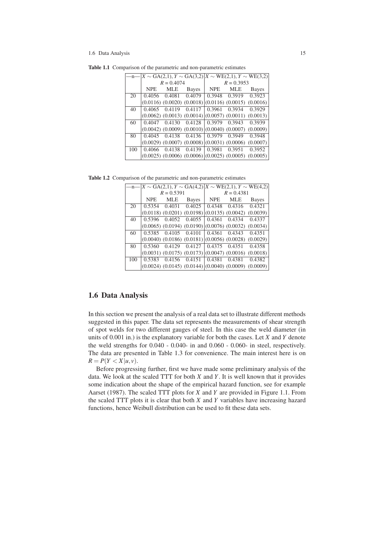#### 1.6 Data Analysis 15

| <b>Table 1.1</b> Comparison of the parametric and non-parametric estimates |  |  |  |  |  |  |
|----------------------------------------------------------------------------|--|--|--|--|--|--|
|----------------------------------------------------------------------------|--|--|--|--|--|--|

|     |            |               |                          |            |                                                                   | $-m= X \sim GA(2,1), Y \sim GA(3,2) X \sim WE(2,1), Y \sim WE(3,2) $ |
|-----|------------|---------------|--------------------------|------------|-------------------------------------------------------------------|----------------------------------------------------------------------|
|     |            | $R = 0.4074$  |                          |            | $R = 0.3953$                                                      |                                                                      |
|     | <b>NPE</b> | <b>MLE</b>    | Bayes                    | <b>NPE</b> | <b>MLE</b>                                                        | Bayes                                                                |
| 20  | 0.4056     |               | 0.4081 0.4079            | 0.3948     | 0.3919                                                            | 0.3923                                                               |
|     |            |               |                          |            | $(0.0116)$ $(0.0020)$ $(0.0018)$ $(0.0116)$ $(0.0015)$ $(0.0016)$ |                                                                      |
| 40  |            | 0.4065 0.4119 | 0.4117                   | 0.3961     | 0.3934                                                            | 0.3929                                                               |
|     |            |               |                          |            | $(0.0062)$ $(0.0013)$ $(0.0014)$ $(0.0057)$ $(0.0011)$ $(0.0013)$ |                                                                      |
| 60  | 0.4047     |               | $0.4130$ $0.4128$ 0.3979 |            | 0.3943                                                            | 0.3939                                                               |
|     |            |               |                          |            | $(0.0042)$ $(0.0009)$ $(0.0010)$ $(0.0040)$ $(0.0007)$ $(0.0009)$ |                                                                      |
| 80  | 0.4045     |               | $0.4138$ $0.4136$ 0.3979 |            | 0.3949                                                            | 0.3948                                                               |
|     |            |               |                          |            | $(0.0029)$ $(0.0007)$ $(0.0008)$ $(0.0031)$ $(0.0006)$ $(0.0007)$ |                                                                      |
| 100 | 0.4066     | 0.4138        | 0.4139                   | 0.3981     | 0.3951                                                            | 0.3952                                                               |
|     |            |               |                          |            |                                                                   | $(0.0025)$ $(0.0006)$ $(0.0006)$ $(0.0025)$ $(0.0005)$ $(0.0005)$    |

Table 1.2 Comparison of the parametric and non-parametric estimates

| $-n-$ |            |              |                                                                   |                                                 |              | $ X \sim GA(2,1), Y \sim GA(4,2) X \sim WE(2,1), Y \sim WE(4,2)$  |
|-------|------------|--------------|-------------------------------------------------------------------|-------------------------------------------------|--------------|-------------------------------------------------------------------|
|       |            | $R = 0.5391$ |                                                                   |                                                 | $R = 0.4381$ |                                                                   |
|       | <b>NPE</b> | MLE          | Bayes                                                             | NPE.                                            | MLE          | Bayes                                                             |
| 20    | 0.5354     | 0.4031       | 0.4025                                                            | 0.4348                                          | 0.4316       | 0.4321                                                            |
|       |            |              | $(0.0118)$ $(0.0201)$ $(0.0198)$ $(0.0135)$ $(0.0042)$            |                                                 |              | (0.0039)                                                          |
| 40    | 0.5396     | 0.4052       | 0.4055                                                            | 0.4361                                          | 0.4334       | 0.4337                                                            |
|       |            |              | $(0.0065)$ $(0.0194)$ $(0.0190)$ $(0.0076)$ $(0.0032)$ $(0.0034)$ |                                                 |              |                                                                   |
| 60    | 0.5385     | 0.4105       | 0.4101                                                            | 0.4361                                          | 0.4343       | 0.4351                                                            |
|       |            |              |                                                                   |                                                 |              | $(0.0040)$ $(0.0186)$ $(0.0181)$ $(0.0056)$ $(0.0028)$ $(0.0029)$ |
| 80    | 0.5360     | 0.4129       | 0.4127                                                            | $\begin{bmatrix} 0.4375 & 0.4351 \end{bmatrix}$ |              | 0.4358                                                            |
|       |            |              | $(0.0031)$ $(0.0175)$ $(0.0173)$ $(0.0047)$ $(0.0016)$            |                                                 |              | (0.0018)                                                          |
| 100   | 0.5383     | 0.4156       |                                                                   | $0.4151 \mid 0.4381$                            | 0.4381       | 0.4382                                                            |
|       |            |              | $(0.0024)$ $(0.0145)$ $(0.0144)$ $(0.0040)$ $(0.0009)$            |                                                 |              | (0.0009)                                                          |

## 1.6 Data Analysis

In this section we present the analysis of a real data set to illustrate different methods suggested in this paper. The data set represents the measurements of shear strength of spot welds for two different gauges of steel. In this case the weld diameter (in units of 0.001 in.) is the explanatory variable for both the cases. Let *X* and *Y* denote the weld strengths for 0.040 - 0.040- in and 0.060 - 0.060- in steel, respectively. The data are presented in Table 1.3 for convenience. The main interest here is on  $R = P(Y < X | u, v).$ 

Before progressing further, first we have made some preliminary analysis of the data. We look at the scaled TTT for both *X* and *Y*. It is well known that it provides some indication about the shape of the empirical hazard function, see for example Aarset (1987). The scaled TTT plots for *X* and *Y* are provided in Figure 1.1. From the scaled TTT plots it is clear that both *X* and *Y* variables have increasing hazard functions, hence Weibull distribution can be used to fit these data sets.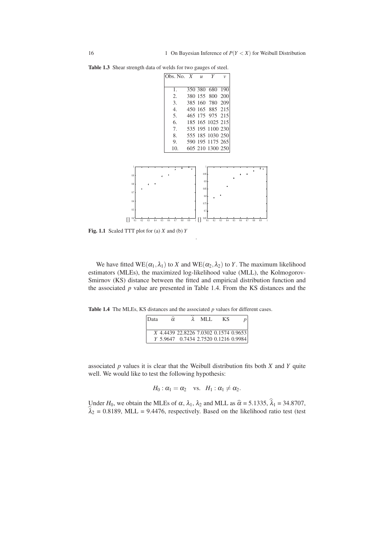Table 1.3 Shear strength data of welds for two gauges of steel.

|     |     |     |     |     |     |          |     | Obs. No. $X$ u         |           |         | Y   | $\mathcal{V}$ |     |     |     |     |     |     |  |
|-----|-----|-----|-----|-----|-----|----------|-----|------------------------|-----------|---------|-----|---------------|-----|-----|-----|-----|-----|-----|--|
|     |     |     |     |     |     |          |     |                        |           |         |     |               |     |     |     |     |     |     |  |
|     |     |     |     |     |     | 1.<br>2. |     | 350 380 680<br>380 155 |           |         | 800 | 190<br>200    |     |     |     |     |     |     |  |
|     |     |     |     |     |     | 3.       |     | 385 160 780            |           |         |     | 209           |     |     |     |     |     |     |  |
|     |     |     |     |     |     | 4.       |     | 450 165 885 215        |           |         |     |               |     |     |     |     |     |     |  |
|     |     |     |     |     |     | 5.       |     | 465 175 975 215        |           |         |     |               |     |     |     |     |     |     |  |
|     |     |     |     |     |     | 6.       |     | 185 165 1025 215       |           |         |     |               |     |     |     |     |     |     |  |
|     |     |     |     |     |     | 7.       |     | 535 195 1100 230       |           |         |     |               |     |     |     |     |     |     |  |
|     |     |     |     |     |     | 8.       |     | 555 185 1030 250       |           |         |     |               |     |     |     |     |     |     |  |
|     |     |     |     |     |     | 9.       |     | 590 195 1175 265       |           |         |     |               |     |     |     |     |     |     |  |
|     |     |     |     |     |     | 10.      |     | 605 210 1300 250       |           |         |     |               |     |     |     |     |     |     |  |
|     |     |     |     |     |     |          |     |                        |           |         |     |               |     |     |     |     |     |     |  |
| 1   |     |     |     |     |     |          |     |                        |           |         |     |               |     |     |     |     |     |     |  |
| 0.9 |     |     |     |     |     |          |     |                        | 0.95      |         |     |               |     |     |     |     |     |     |  |
|     |     |     |     |     |     |          |     |                        |           | 0.9     |     |               |     |     |     |     |     |     |  |
| 0.8 |     |     |     |     |     |          |     |                        | 0.85      |         |     |               |     |     |     |     |     |     |  |
| 0.7 |     |     |     |     |     |          |     |                        |           | 0.8     |     |               |     |     |     |     |     |     |  |
| 0.6 |     |     |     |     |     |          |     |                        | 0.75      |         |     |               |     |     |     |     |     |     |  |
| 0.5 |     |     |     |     |     |          |     |                        |           | $0.7 -$ |     |               |     |     |     |     |     |     |  |
|     |     |     |     |     |     |          |     |                        |           |         |     |               |     |     |     |     |     |     |  |
| 0.1 | 0.2 | 0.3 | 0.4 | 0.5 | 0.6 | 0.7      | 0.8 | 0.9                    | 0.65<br>Н | 0.1     | 0.2 | 0.3           | 0.4 | 0.5 | 0.6 | 0.7 | 0.8 | 0.9 |  |

Fig. 1.1 Scaled TTT plot for (a) *X* and (b) *Y*

We have fitted  $WE(\alpha_1, \lambda_1)$  to *X* and  $WE(\alpha_2, \lambda_2)$  to *Y*. The maximum likelihood estimators (MLEs), the maximized log-likelihood value (MLL), the Kolmogorov-Smirnov (KS) distance between the fitted and empirical distribution function and the associated *p* value are presented in Table 1.4. From the KS distances and the

.

Table 1.4 The MLEs, KS distances and the associated *p* values for different cases.

| Data | $\widehat{\alpha}$ | $\lambda$                             | MIJ. | KS. |  |
|------|--------------------|---------------------------------------|------|-----|--|
|      |                    | X 4.4439 22.8226 7.0302 0.1574 0.9653 |      |     |  |
|      |                    | Y 5.9647 0.7434 2.7520 0.1216 0.9984  |      |     |  |

associated *p* values it is clear that the Weibull distribution fits both *X* and *Y* quite well. We would like to test the following hypothesis:

$$
H_0: \alpha_1 = \alpha_2
$$
 vs.  $H_1: \alpha_1 \neq \alpha_2$ .

Under  $H_0$ , we obtain the MLEs of  $\alpha$ ,  $\lambda_1$ ,  $\lambda_2$  and MLL as  $\hat{\alpha} = 5.1335$ ,  $\hat{\lambda}_1 = 34.8707$ ,  $\hat{\lambda}_2$  = 0.8189, MLL = 9.4476, respectively. Based on the likelihood ratio test (test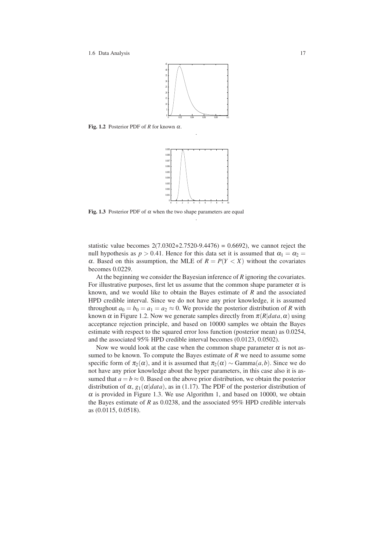

Fig. 1.2 Posterior PDF of  $R$  for known  $\alpha$ .



.

Fig. 1.3 Posterior PDF of  $\alpha$  when the two shape parameters are equal

statistic value becomes  $2(7.0302 + 2.7520 - 9.4476) = 0.6692$ , we cannot reject the null hypothesis as  $p > 0.41$ . Hence for this data set it is assumed that  $\alpha_1 = \alpha_2$ <sup>α</sup>. Based on this assumption, the MLE of *R* = *P*(*Y* < *X*) without the covariates becomes 0.0229.

.

At the beginning we consider the Bayesian inference of *R* ignoring the covariates. For illustrative purposes, first let us assume that the common shape parameter  $\alpha$  is known, and we would like to obtain the Bayes estimate of *R* and the associated HPD credible interval. Since we do not have any prior knowledge, it is assumed throughout  $a_0 = b_0 = a_1 = a_2 \approx 0$ . We provide the posterior distribution of *R* with known  $\alpha$  in Figure 1.2. Now we generate samples directly from  $\pi(R|data,\alpha)$  using acceptance rejection principle, and based on 10000 samples we obtain the Bayes estimate with respect to the squared error loss function (posterior mean) as 0.0254, and the associated 95% HPD credible interval becomes (0.0123, 0.0502).

Now we would look at the case when the common shape parameter  $\alpha$  is not assumed to be known. To compute the Bayes estimate of *R* we need to assume some specific form of  $\pi_2(\alpha)$ , and it is assumed that  $\pi_2(\alpha) \sim \text{Gamma}(a,b)$ . Since we do not have any prior knowledge about the hyper parameters, in this case also it is assumed that  $a = b \approx 0$ . Based on the above prior distribution, we obtain the posterior distribution of  $\alpha$ ,  $g_1(\alpha|data)$ , as in (1.17). The PDF of the posterior distribution of  $\alpha$  is provided in Figure 1.3. We use Algorithm 1, and based on 10000, we obtain the Bayes estimate of *R* as 0.0238, and the associated 95% HPD credible intervals as (0.0115, 0.0518).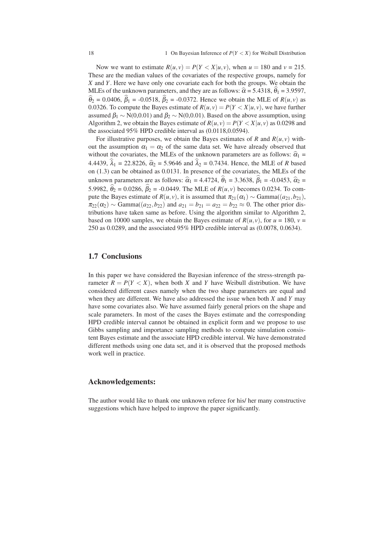Now we want to estimate  $R(u, v) = P(Y < X | u, v)$ , when  $u = 180$  and  $v = 215$ . These are the median values of the covariates of the respective groups, namely for *X* and *Y*. Here we have only one covariate each for both the groups. We obtain the MLEs of the unknown parameters, and they are as follows:  $\hat{\alpha} = 5.4318$ ,  $\hat{\theta}_1 = 3.9597$ ,  $\hat{\theta}_2 = 0.0406$ ,  $\hat{\beta}_1 = -0.0518$ ,  $\hat{\beta}_2 = -0.0372$ . Hence we obtain the MLE of *R*(*u*, *v*) as 0.0326. To compute the Bayes estimate of  $R(u, v) = P(Y < X | u, v)$ , we have further assumed  $\beta_1 \sim N(0,0.01)$  and  $\beta_2 \sim N(0,0.01)$ . Based on the above assumption, using Algorithm 2, we obtain the Bayes estimate of  $R(u, v) = P(Y \leq X | u, v)$  as 0.0298 and the associated 95% HPD credible interval as (0.0118,0.0594).

For illustrative purposes, we obtain the Bayes estimates of *R* and  $R(u, v)$  without the assumption  $\alpha_1 = \alpha_2$  of the same data set. We have already observed that without the covariates, the MLEs of the unknown parameters are as follows:  $\hat{\alpha}_1$  = 4.4439,  $\lambda_1 = 22.8226$ ,  $\hat{\alpha}_2 = 5.9646$  and  $\lambda_2 = 0.7434$ . Hence, the MLE of *R* based on (1.3) can be obtained as 0.0131. In presence of the covariates, the MLEs of the unknown parameters are as follows:  $\hat{\alpha}_1 = 4.4724$ ,  $\hat{\theta}_1 = 3.3638$ ,  $\hat{\beta}_1 = -0.0453$ ,  $\hat{\alpha}_2 =$ 5.9982,  $\hat{\theta}_2 = 0.0286$ ,  $\beta_2 = -0.0449$ . The MLE of  $R(u, v)$  becomes 0.0234. To compute the Bayes estimate of  $R(u, v)$ , it is assumed that  $\pi_{21}(\alpha_1) \sim \text{Gamma}((a_{21}, b_{21}),$  $\pi_{22}(\alpha_2) \sim \text{Gamma}((a_{22}, b_{22}) \text{ and } a_{21} = b_{21} = a_{22} = b_{22} \approx 0.$  The other prior distributions have taken same as before. Using the algorithm similar to Algorithm 2, based on 10000 samples, we obtain the Bayes estimate of  $R(u, v)$ , for  $u = 180$ ,  $v =$ 250 as 0.0289, and the associated 95% HPD credible interval as (0.0078, 0.0634).

## 1.7 Conclusions

In this paper we have considered the Bayesian inference of the stress-strength parameter  $R = P(Y < X)$ , when both *X* and *Y* have Weibull distribution. We have considered different cases namely when the two shape parameters are equal and when they are different. We have also addressed the issue when both *X* and *Y* may have some covariates also. We have assumed fairly general priors on the shape and scale parameters. In most of the cases the Bayes estimate and the corresponding HPD credible interval cannot be obtained in explicit form and we propose to use Gibbs sampling and importance sampling methods to compute simulation consistent Bayes estimate and the associate HPD credible interval. We have demonstrated different methods using one data set, and it is observed that the proposed methods work well in practice.

#### Acknowledgements:

The author would like to thank one unknown referee for his/ her many constructive suggestions which have helped to improve the paper significantly.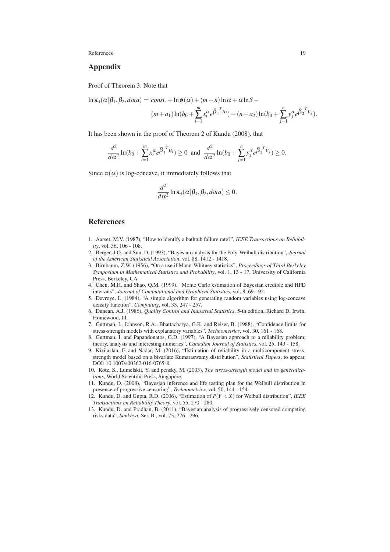References and the set of the set of the set of the set of the set of the set of the set of the set of the set of the set of the set of the set of the set of the set of the set of the set of the set of the set of the set o

## Appendix

Proof of Theorem 3: Note that

$$
\ln \pi_3(\alpha|\beta_1, \beta_2, data) = const. + \ln \phi(\alpha) + (m+n) \ln \alpha + \alpha \ln S -
$$
  

$$
(m+n_1) \ln(b_0 + \sum_{i=1}^m x_i^{\alpha} e^{\beta_1^{T} u_i}) - (n+n_2) \ln(b_0 + \sum_{j=1}^n y_j^{\alpha} e^{\beta_2^{T} v_j}).
$$

It has been shown in the proof of Theorem 2 of Kundu (2008), that

$$
\frac{d^2}{d\alpha^2}\ln(b_0+\sum_{i=1}^m x_i^{\alpha}e^{\beta_1^T u_i})\geq 0 \text{ and } \frac{d^2}{d\alpha^2}\ln(b_0+\sum_{j=1}^n y_j^{\alpha}e^{\beta_2^T v_j})\geq 0.
$$

Since  $\pi(\alpha)$  is log-concave, it immediately follows that

$$
\frac{d^2}{d\alpha^2}\ln \pi_3(\alpha|\beta_1,\beta_2,data)\leq 0.
$$

## **References**

- 1. Aarset, M.V. (1987), "How to identify a bathtub failure rate?", *IEEE Transactions on Reliability*, vol. 36, 106 - 108.
- 2. Berger, J.O. and Sun, D. (1993), "Bayesian analysis for the Poly-Weibull distribution", *Journal of the American Statistical Association*, vol. 88, 1412 - 1418.
- 3. Birnbaum, Z.W. (1956), "On a use if Mann-Whitney statistics", *Proceedings of Third Berkeley Symposium in Mathematical Statistics and Probability*, vol. 1, 13 - 17, University of California Press, Berkeley, CA.
- 4. Chen, M.H. and Shao, Q.M. (1999), "Monte Carlo estimation of Bayesian credible and HPD intervals", *Journal of Computational and Graphical Statistics*, vol. 8, 69 - 92.
- 5. Devroye, L. (1984), "A simple algorithm for generating random variables using log-concave density function", *Computing*, vol. 33, 247 - 257.
- 6. Duncan, A.J. (1986), *Quality Control and Industrial Statistics*, 5-th edition, Richard D. Irwin, Homewood, Ill.
- 7. Guttman, I., Johnson, R.A., Bhattacharya, G.K. and Reiser, B. (1988), "Confidence limits for stress-strength models with explanatory variables", *Technometrics*, vol. 30, 161 - 168.
- 8. Guttman, I. and Papandonatos, G.D. (1997), "A Bayesian approach to a reliability problem; theory, analysis and interesting numerics", *Canadian Journal of Statistics*, vol. 25, 143 - 158.
- 9. Kizilaslan, F. and Nadar, M. (2016), "Estimation of reliability in a multicomponent stressstrength model based on a bivariate Kumaraswamy distribution", *Statistical Papers*, to appear, DOI: 10.1007/s00362-016-0765-8.
- 10. Kotz, S., Lumelskii, Y. and pensky, M. (2003), *The stress-strength model and its generalizations*, World Scientific Press, Singapore.
- 11. Kundu, D. (2008), "Bayesian inference and life testing plan for the Weibull distribution in presence of progressive censoring", *Technometrics*, vol. 50, 144 - 154.
- 12. Kundu, D. and Gupta, R.D. (2006), "Estimation of *P*(*Y* < *X*) for Weibull distribution", *IEEE Transactions on Reliability Theory*, vol. 55, 270 - 280.
- 13. Kundu, D. and Pradhan, B. (2011), "Bayesian analysis of progressively censored competing risks data", *Sankhya*, Ser. B., vol. 73, 276 - 296.